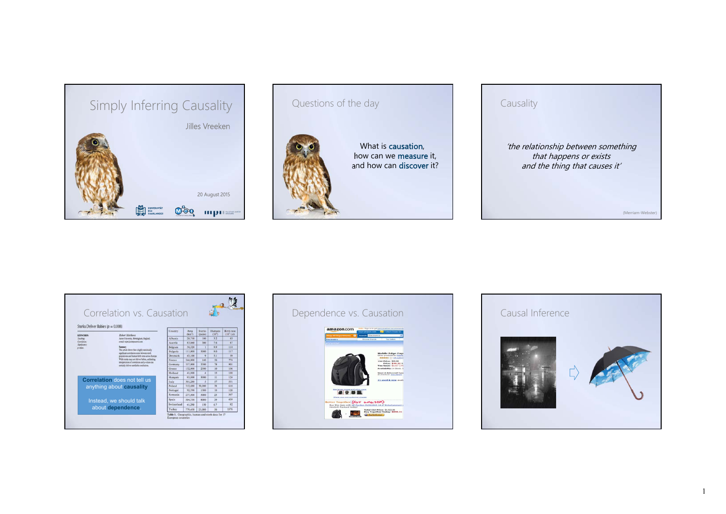

# Questions of the day



What is **causation**. how can we **measure** it, and how can **discover** it?

# Causality 'the relationship between something that happens or exists and the thing that causes it' (Merriam-Webster)

|                                                                                                                      | Correlation vs. Causation                                                                                                                                                                                                                                                                                                                                                                                     |             |                            |                          |                              |                                  |
|----------------------------------------------------------------------------------------------------------------------|---------------------------------------------------------------------------------------------------------------------------------------------------------------------------------------------------------------------------------------------------------------------------------------------------------------------------------------------------------------------------------------------------------------|-------------|----------------------------|--------------------------|------------------------------|----------------------------------|
| Storks Deliver Babies ( $p = 0.008$ )<br><b>KEYWORDS:</b><br>Teaching:<br>Correlation:<br>Siprificance:<br>a-salars. | Robert Matthews<br>Aston University, Birmingham, England.<br>e-mail: raim il compuserve com-<br>Summary<br>This article shows that a highly statistically<br>significant correlation exists between stock<br>predations and human birth rates across Farene.<br>While storks may not deliver babies, unthinking<br>interpretation of correlation and p-values can<br>certainly driver unreliable conclusions. | Country     | Area<br>(km <sup>2</sup> ) | <b>Storks</b><br>(pairs) | Humans<br>(10 <sup>3</sup> ) | Birth rate<br>$(10^3/\text{yr})$ |
|                                                                                                                      |                                                                                                                                                                                                                                                                                                                                                                                                               | Albanía     | 28.750                     | 100                      | 3.2                          | 83                               |
|                                                                                                                      |                                                                                                                                                                                                                                                                                                                                                                                                               | Austria     | 83.860                     | 300                      | 7.6                          | 87                               |
|                                                                                                                      |                                                                                                                                                                                                                                                                                                                                                                                                               | Belgium     | 30.520                     |                          | 9.9                          | 118                              |
|                                                                                                                      |                                                                                                                                                                                                                                                                                                                                                                                                               | Bulearía    | 111,000                    | 5000                     | 9.0                          | 117                              |
|                                                                                                                      |                                                                                                                                                                                                                                                                                                                                                                                                               | Denmark     | 43.100                     | $\circ$                  | 5.1                          | 49                               |
|                                                                                                                      |                                                                                                                                                                                                                                                                                                                                                                                                               | France      | \$44,000                   | 140                      | 56                           | 774                              |
|                                                                                                                      |                                                                                                                                                                                                                                                                                                                                                                                                               | Germany     | 357,000                    | 3300                     | 78                           | 901                              |
|                                                                                                                      |                                                                                                                                                                                                                                                                                                                                                                                                               | Greece      | 132,000                    | 2500                     | 10                           | 106                              |
|                                                                                                                      |                                                                                                                                                                                                                                                                                                                                                                                                               | Holland     | 41.900                     | $\Delta$                 | 15                           | 188                              |
| <b>Correlation does not tell us</b>                                                                                  |                                                                                                                                                                                                                                                                                                                                                                                                               | Hungary     | 93,000                     | 5000                     | $\mathbf{1}$                 | 124                              |
|                                                                                                                      |                                                                                                                                                                                                                                                                                                                                                                                                               | Italy       | 301.280                    | š                        | 57                           | 551                              |
| anything about causality                                                                                             |                                                                                                                                                                                                                                                                                                                                                                                                               | Poland      | 312,680                    | 30,000                   | 18                           | 610                              |
|                                                                                                                      |                                                                                                                                                                                                                                                                                                                                                                                                               | Portugal    | 92.390                     | 1500                     | 10                           | 120                              |
|                                                                                                                      |                                                                                                                                                                                                                                                                                                                                                                                                               | Romania     | 237,500                    | 5000                     | 23                           | 367                              |
| Instead, we should talk<br>about dependence.                                                                         |                                                                                                                                                                                                                                                                                                                                                                                                               | Spain       | 504.750                    | 8000                     | 39                           | 439                              |
|                                                                                                                      |                                                                                                                                                                                                                                                                                                                                                                                                               | Switzerland | 41.290                     | 150                      | 6.7                          | 82                               |
|                                                                                                                      |                                                                                                                                                                                                                                                                                                                                                                                                               | Turkey      | 779.450                    | 25,000                   | 56                           | 1576                             |



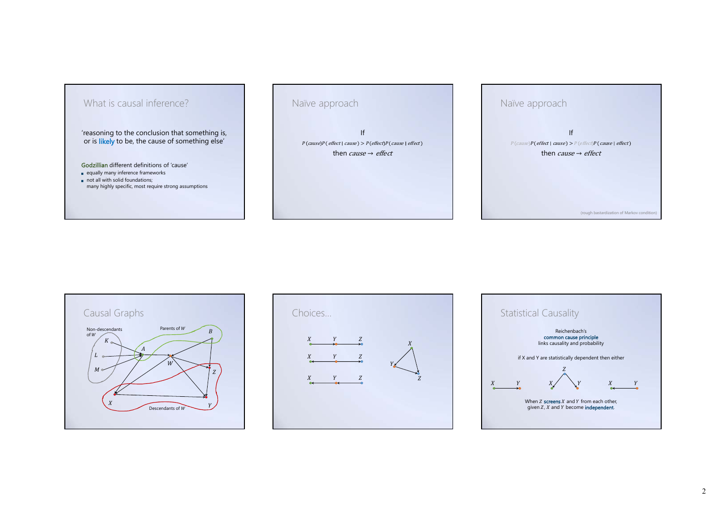

Naïve approach

If $P(cause)P(effect \mid cause) > P(effect)P(cause \mid effect)$ then *cause → effect* 







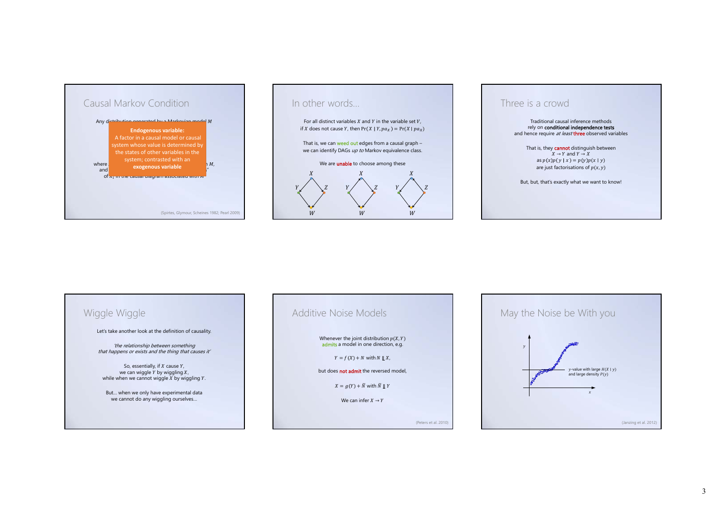

#### In other words…

For all distinct variables  $X$  and  $Y$  in the variable set  $V$ , if X does not cause Y, then  $Pr(X | Y, pa_X) = Pr(X | pa_X)$ 

That is, we can weed out edges from a causal graph we can identify DAGs up to Markov equivalence class.

#### We are **unable** to choose among these



#### Three is a crowd

Traditional causal inference methods rely on **conditional independence tests**<br>and hence require *at least* three observed variables

That is, they **cannot** distinguish between  $X \to Y$  and  $Y \to X$ as  $p(x)p(y | x) = p(y)p(x | y)$ are just factorisations of  $p(x, y)$ 

But, but, that's exactly what we want to know!

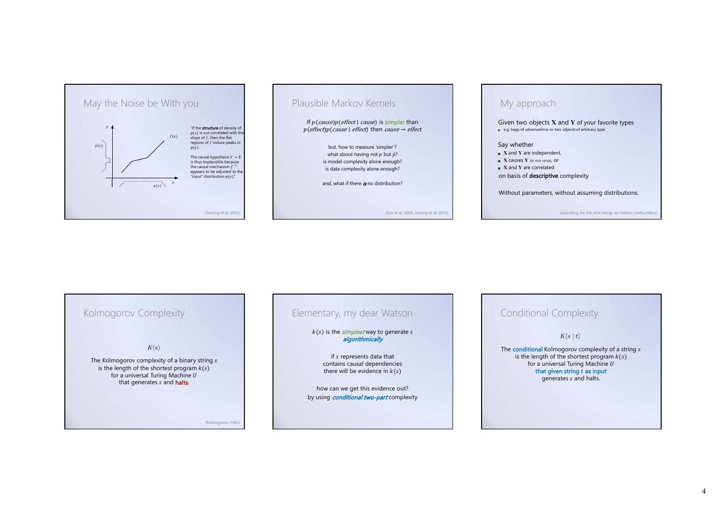

## Plausible Markov Kernels

If  $p(\text{cause})p(\text{effect} \mid \text{cause})$  is simpler than  $p(effect)p(cause \mid effect)$  then *cause* → *effect* 

> but, how to measure 'simpler'? what about having not  $p$  but  $\hat{p}$ ? is model complexity alone enough? is data complexity alone enough?

and, what if there *is* no distribution?

(Sun et al. 2006, Janzing et al. 2012)

### My approach

Given two objects **<sup>X</sup>** and **<sup>Y</sup>** of your favorite types

e.g. bags of *observations*, or two *objects* of arbitrary type

#### Say whether

- **<sup>X</sup>** and **<sup>Y</sup>** are independent,
- **X** causes **Y** (or vice versa), or
- **X** and **Y** are correlated
- on basis of descriptive complexity

Without parameters, without assuming distributions.

(assuming, for the time being, no hidden confounder



### Elementary, my dear Watson

 $k(s)$  is the *simplest* way to generate  $s$ algorithmically

> if s represents data that contains causal dependencies there will be evidence in  $k(s)$

how can we get this evidence out? by using *conditional two-part* complexity

#### Conditional Complexity

 $K(s | t)$ 

The **conditional** Kolmogorov complexity of a string s is the length of the shortest program  $k(s)$ for a universal Turing Machine  $U$ that given string  $t$  as input generates s and halts.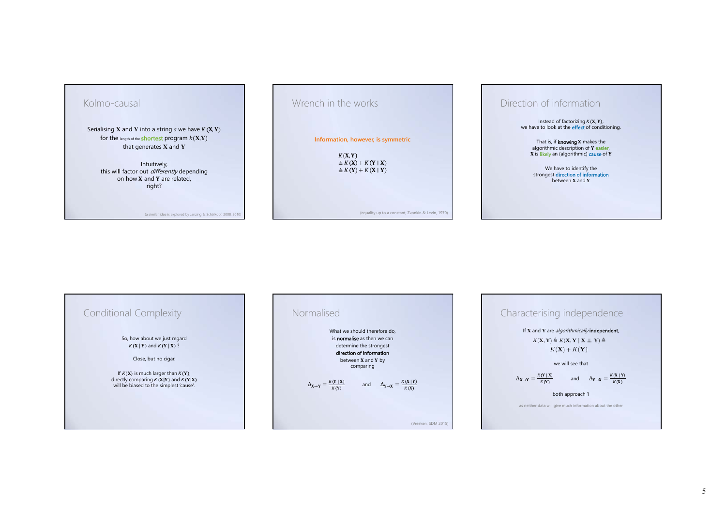

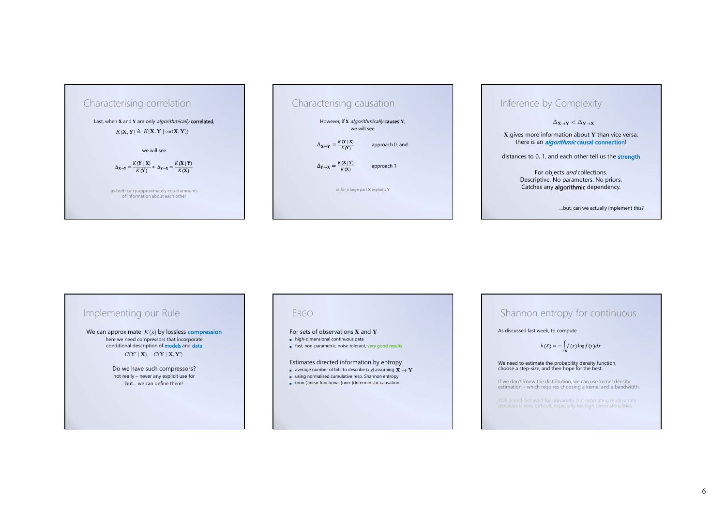



# Inference by Complexity

 $\Delta_{\mathbf{X}\rightarrow\mathbf{Y}} < \Delta_{\mathbf{Y}\rightarrow\mathbf{X}}$ 

**X** gives more information about **<sup>Y</sup>** than vice versa: there is an *algorithmic* causal connection!

distances to 0, 1, and each other tell us the **strength** 

For objects and collections. Descriptive. No parameters. No priors. Catches any **algorithmic** dependency.

…but, can we actually implement this?

### Implementing our Rule We can approximate  $K(s)$  by lossless compression here we need compressors that incorporate<br>conditional description of models and data  $C(Y' | X), C(Y | X, Y')$ Do we have such compressors? not really – never any explicit use for but… we can define them!

#### ERGO

- For sets of observations **X** and **Y**
- high-dimensional continuous data
- fast, non-parametric, noise tolerant, very good results

#### Estimates directed information by entropy

- average number of bits to describe  $(x, y)$  assuming
- using normalised cumulative resp. Shannon entropy
- (non-)linear functional (non-)deterministic causation

#### Shannon entropy for continuous

As discussed last week, to compute

#### $h(X) = -\int f(x) \log f(x) dx$

### We need to estimate the probability density function, choose a step-size, and then hope for the best.

If we don't know the distribution, we can use kernel density estimation – which requires choosing a kernel and a bandwidth.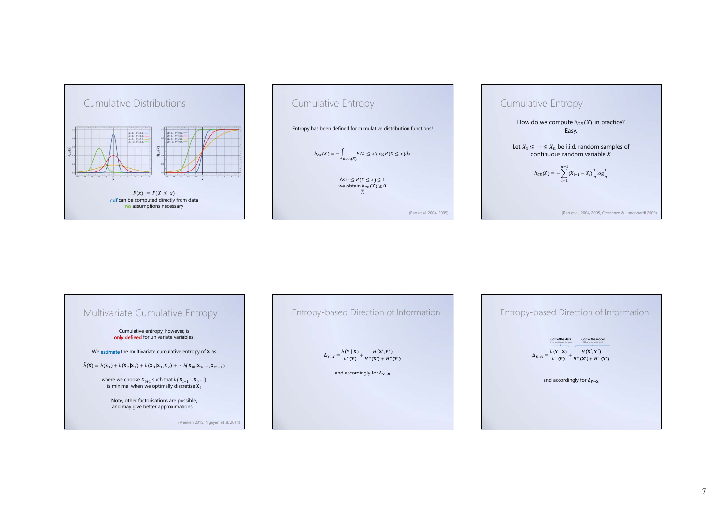







7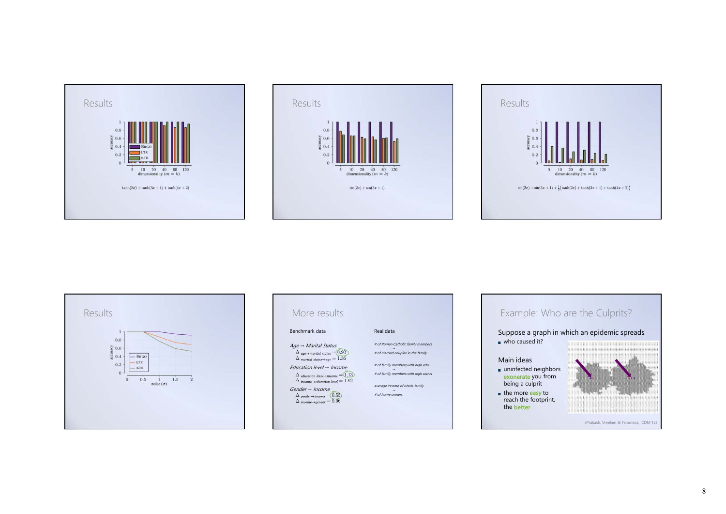







| Benchmark data                                                                                       | Real data                            |
|------------------------------------------------------------------------------------------------------|--------------------------------------|
| $Age \rightarrow Marital Status$                                                                     | # of Roman Catholic family members   |
| $\Delta$ age $\rightarrow$ marital status = 0.90<br>$\Delta$ marital status + age = 1.36             | # of married couples in the family   |
| Education level $\rightarrow$ Income                                                                 | # of family members with high edu.   |
| $\Delta$ education level +income = $(1.13)$<br>$\Delta$ income $\rightarrow$ education level $=1.62$ | # of family members with high status |
| $Gender \rightarrow Income$                                                                          | average income of whole family       |
| $\Delta$ gender $\rightarrow$ income $=$ (0.55)<br>$\Delta$ income vender $= 0.96$                   | # of home owners                     |

### Example: Who are the Culprits?

Suppose a graph in which an epidemic spreads who caused it?

#### Main ideas

- uninfected neighbors<br>exonerate you from being a culprit the more easy to
- reach the footprint, the better



(Prakash, Vreeken & Faloutsos, ICDM'12)